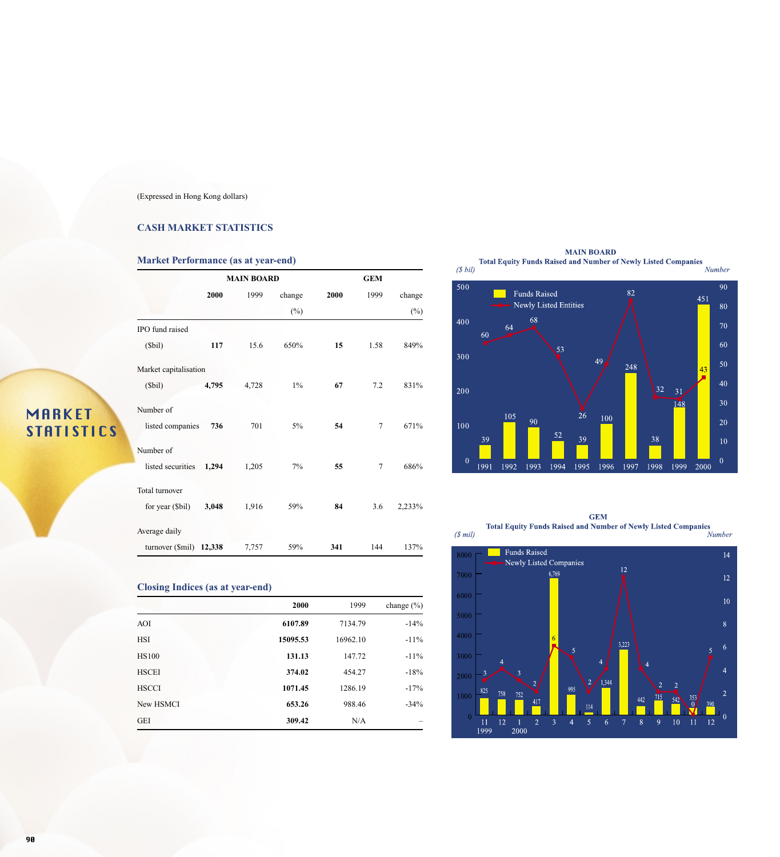#### (Expressed in Hong Kong dollars)

#### **CASH MARKET STATISTICS**

#### **Market Performance (as at year-end)**

|                       |        | <b>MAIN BOARD</b> |        |      |      |        |
|-----------------------|--------|-------------------|--------|------|------|--------|
|                       | 2000   | 1999              | change | 2000 | 1999 | change |
|                       |        |                   | $(\%)$ |      |      | $(\%)$ |
| IPO fund raised       |        |                   |        |      |      |        |
| (Sbil)                | 117    | 15.6              | 650%   | 15   | 1.58 | 849%   |
| Market capitalisation |        |                   |        |      |      |        |
| (Sbil)                | 4,795  | 4,728             | $1\%$  | 67   | 7.2  | 831%   |
| Number of             |        |                   |        |      |      |        |
| listed companies      | 736    | 701               | $5\%$  | 54   | 7    | 671%   |
| Number of             |        |                   |        |      |      |        |
| listed securities     | 1,294  | 1,205             | 7%     | 55   | 7    | 686%   |
| Total turnover        |        |                   |        |      |      |        |
| for year (\$bil)      | 3,048  | 1,916             | 59%    | 84   | 3.6  | 2,233% |
| Average daily         |        |                   |        |      |      |        |
| turnover (\$mil)      | 12,338 | 7,757             | 59%    | 341  | 144  | 137%   |

#### **Closing Indices (as at year-end)**

|              | 2000     | 1999     | change $(\% )$ |
|--------------|----------|----------|----------------|
| AOI          | 6107.89  | 7134.79  | $-14%$         |
| <b>HSI</b>   | 15095.53 | 16962.10 | $-11\%$        |
| <b>HS100</b> | 131.13   | 147.72   | $-11\%$        |
| <b>HSCEI</b> | 374.02   | 454.27   | $-18%$         |
| <b>HSCCI</b> | 1071.45  | 1286.19  | $-17%$         |
| New HSMCI    | 653.26   | 988.46   | $-34%$         |
| <b>GEI</b>   | 309.42   | N/A      |                |

MAIN BOARD<br>Total Equity Funds Raised and Number of Newly Listed Companies<br>Number



**GEM**  $$\sf{GEM}$$  Total Equity Funds Raised and Number of Newly Listed Companies  $$\it Number$$ 



MARKET

**STATISTICS**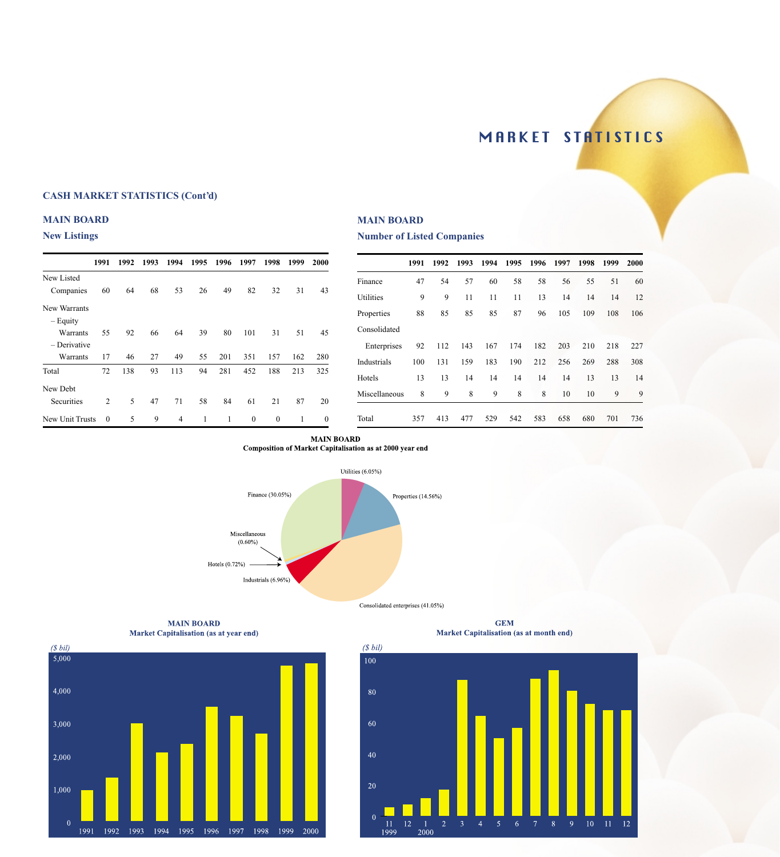## MARKET STATISTICS

#### **CASH MARKET STATISTICS (Cont'd)**

#### **MAIN BOARD**

#### **New Listings**

|                 | 1991         | 1992 | 1993 | 1994 | 1995 | 1996 | 1997         | 1998         | 1999 | <b>2000</b>      |
|-----------------|--------------|------|------|------|------|------|--------------|--------------|------|------------------|
|                 |              |      |      |      |      |      |              |              |      |                  |
| New Listed      |              |      |      |      |      |      |              |              |      |                  |
| Companies       | 60           | 64   | 68   | 53   | 26   | 49   | 82           | 32           | 31   | 43               |
| New Warrants    |              |      |      |      |      |      |              |              |      |                  |
| $-$ Equity      |              |      |      |      |      |      |              |              |      |                  |
| Warrants        | 55           | 92   | 66   | 64   | 39   | 80   | 101          | 31           | 51   | 45               |
| - Derivative    |              |      |      |      |      |      |              |              |      |                  |
| Warrants        | 17           | 46   | 27   | 49   | 55   | 201  | 351          | 157          | 162  | 280              |
| Total           | 72           | 138  | 93   | 113  | 94   | 281  | 452          | 188          | 213  | 325              |
| New Debt        |              |      |      |      |      |      |              |              |      |                  |
| Securities      | 2            | 5    | 47   | 71   | 58   | 84   | 61           | 21           | 87   | 20               |
| New Unit Trusts | $\mathbf{0}$ | 5    | 9    | 4    | 1    | 1    | $\mathbf{0}$ | $\mathbf{0}$ | 1    | $\boldsymbol{0}$ |

#### **MAIN BOARD**

#### **Number of Listed Companies**

|               | 1991 | 1992 | 1993 | 1994 | 1995 | 1996 | 1997 | 1998 | 1999 | 2000 |
|---------------|------|------|------|------|------|------|------|------|------|------|
| Finance       | 47   | 54   | 57   | 60   | 58   | 58   | 56   | 55   | 51   | 60   |
| Utilities     | 9    | 9    | 11   | 11   | 11   | 13   | 14   | 14   | 14   | 12   |
| Properties    | 88   | 85   | 85   | 85   | 87   | 96   | 105  | 109  | 108  | 106  |
| Consolidated  |      |      |      |      |      |      |      |      |      |      |
| Enterprises   | 92   | 112  | 143  | 167  | 174  | 182  | 203  | 210  | 218  | 227  |
| Industrials   | 100  | 131  | 159  | 183  | 190  | 212  | 256  | 269  | 288  | 308  |
| Hotels        | 13   | 13   | 14   | 14   | 14   | 14   | 14   | 13   | 13   | 14   |
| Miscellaneous | 8    | 9    | 8    | 9    | 8    | 8    | 10   | 10   | 9    | 9    |
| Total         | 357  | 413  | 477  | 529  | 542  | 583  | 658  | 680  | 701  | 736  |

#### **MAIN BOARD** Composition of Market Capitalisation as at 2000 year end



**MAIN BOARD** Market Capitalisation (as at year end)





Consolidated enterprises  $(41.05\%)$ 

**GEM** Market Capitalisation (as at month end)

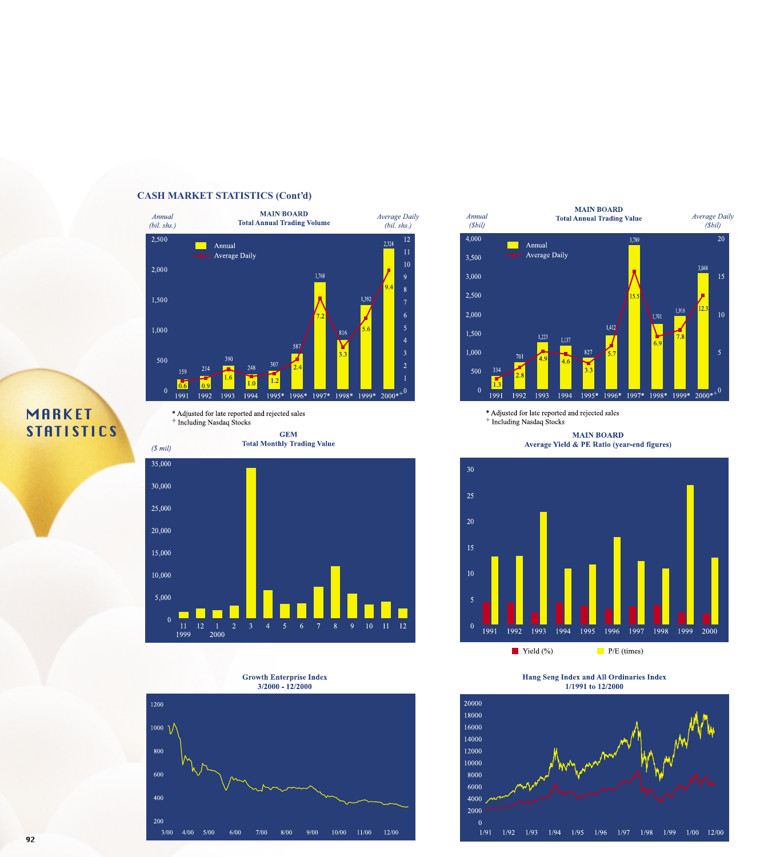



\* Adjusted for late reported and rejected sales <sup>+</sup> Including Nasdaq Stocks

> **GEM Total Monthly Trading Value**



**Growth Enterprise Index**  $3/2000 - 12/2000$ 





\* Adjusted for late reported and rejected sales <sup>+</sup> Including Nasdaq Stocks

> **MAIN BOARD** Average Yield & PE Ratio (year-end figures)



**Hang Seng Index and All Ordinaries Index** 1/1991 to 12/2000



## **MARKET STATISTICS**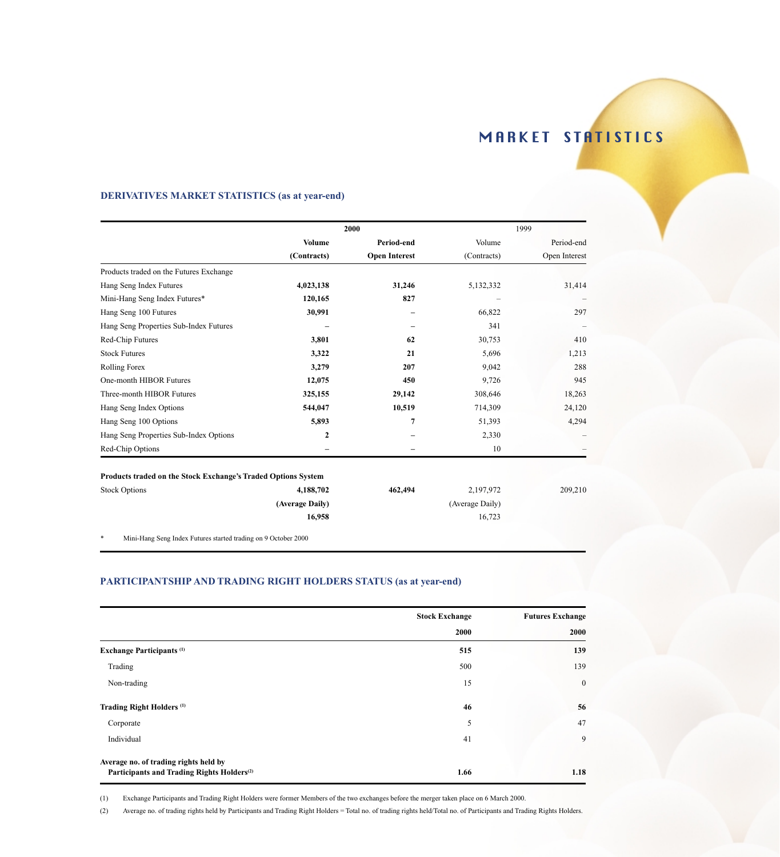### **DERIVATIVES MARKET STATISTICS (as at year-end)**

|                                                               |                 | 2000                 |                 | 1999          |
|---------------------------------------------------------------|-----------------|----------------------|-----------------|---------------|
|                                                               | <b>Volume</b>   | Period-end           | Volume          | Period-end    |
|                                                               | (Contracts)     | <b>Open Interest</b> | (Contracts)     | Open Interest |
| Products traded on the Futures Exchange                       |                 |                      |                 |               |
| Hang Seng Index Futures                                       | 4,023,138       | 31,246               | 5,132,332       | 31,414        |
| Mini-Hang Seng Index Futures*                                 | 120,165         | 827                  |                 |               |
| Hang Seng 100 Futures                                         | 30,991          |                      | 66,822          | 297           |
| Hang Seng Properties Sub-Index Futures                        |                 |                      | 341             |               |
| Red-Chip Futures                                              | 3,801           | 62                   | 30,753          | 410           |
| <b>Stock Futures</b>                                          | 3,322           | 21                   | 5,696           | 1,213         |
| <b>Rolling Forex</b>                                          | 3,279           | 207                  | 9,042           | 288           |
| One-month HIBOR Futures                                       | 12,075          | 450                  | 9,726           | 945           |
| Three-month HIBOR Futures                                     | 325,155         | 29,142               | 308,646         | 18,263        |
| Hang Seng Index Options                                       | 544,047         | 10,519               | 714,309         | 24,120        |
| Hang Seng 100 Options                                         | 5,893           | 7                    | 51,393          | 4,294         |
| Hang Seng Properties Sub-Index Options                        | $\mathbf{2}$    |                      | 2,330           |               |
| Red-Chip Options                                              |                 |                      | 10              |               |
| Products traded on the Stock Exchange's Traded Options System |                 |                      |                 |               |
| <b>Stock Options</b>                                          | 4,188,702       | 462,494              | 2,197,972       | 209,210       |
|                                                               | (Average Daily) |                      | (Average Daily) |               |
|                                                               | 16,958          |                      | 16,723          |               |
| MUTTER THEFT THE ROLL COOL                                    |                 |                      |                 |               |

\* Mini-Hang Seng Index Futures started trading on 9 October 2000

### **PARTICIPANTSHIP AND TRADING RIGHT HOLDERS STATUS (as at year-end)**

|                                                        | <b>Stock Exchange</b> | <b>Futures Exchange</b> |
|--------------------------------------------------------|-----------------------|-------------------------|
|                                                        | 2000                  | 2000                    |
| <b>Exchange Participants</b> <sup>(1)</sup>            | 515                   | 139                     |
| Trading                                                | 500                   | 139                     |
| Non-trading                                            | 15                    | $\bf{0}$                |
| Trading Right Holders <sup>(1)</sup>                   | 46                    | 56                      |
| Corporate                                              | 5                     | 47                      |
| Individual                                             | 41                    | 9                       |
| Average no. of trading rights held by                  |                       |                         |
| Participants and Trading Rights Holders <sup>(2)</sup> | 1.66                  | 1.18                    |

(1) Exchange Participants and Trading Right Holders were former Members of the two exchanges before the merger taken place on 6 March 2000.

(2) Average no. of trading rights held by Participants and Trading Right Holders = Total no. of trading rights held/Total no. of Participants and Trading Rights Holders.